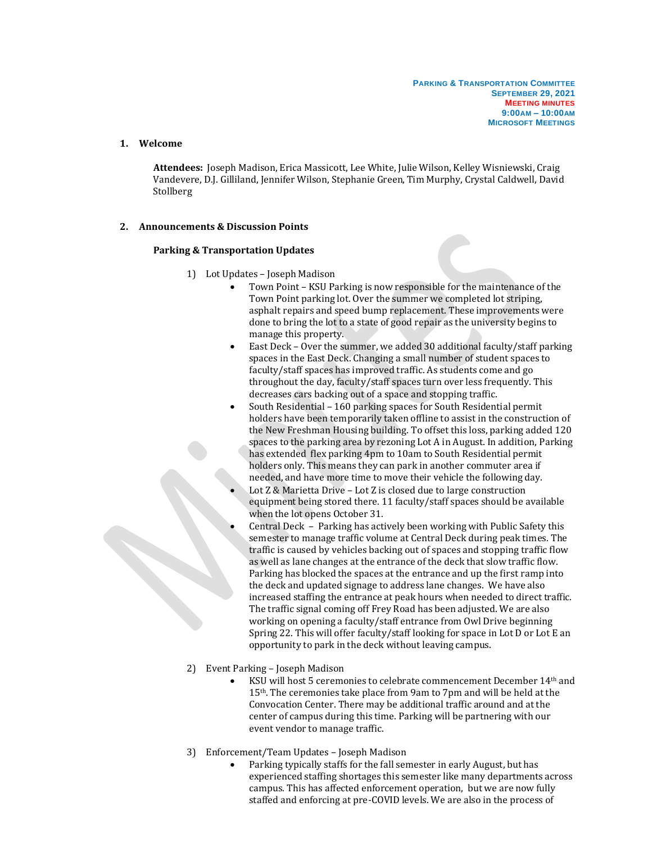## **1. Welcome**

**Attendees:** Joseph Madison, Erica Massicott, Lee White, Julie Wilson, Kelley Wisniewski, Craig Vandevere, D.J. Gilliland, Jennifer Wilson, Stephanie Green, Tim Murphy, Crystal Caldwell, David Stollberg

## **2. Announcements & Discussion Points**

## **Parking & Transportation Updates**

- 1) Lot Updates Joseph Madison
	- Town Point KSU Parking is now responsible for the maintenance of the Town Point parking lot. Over the summer we completed lot striping, asphalt repairs and speed bump replacement. These improvements were done to bring the lot to a state of good repair as the university begins to manage this property.
	- East Deck Over the summer, we added 30 additional faculty/staff parking spaces in the East Deck. Changing a small number of student spaces to faculty/staff spaces has improved traffic. As students come and go throughout the day, faculty/staff spaces turn over less frequently. This decreases cars backing out of a space and stopping traffic.
	- South Residential 160 parking spaces for South Residential permit holders have been temporarily taken offline to assist in the construction of the New Freshman Housing building. To offset this loss, parking added 120 spaces to the parking area by rezoning Lot A in August. In addition, Parking has extended flex parking 4pm to 10am to South Residential permit holders only. This means they can park in another commuter area if needed, and have more time to move their vehicle the following day.
	- Lot Z & Marietta Drive Lot Z is closed due to large construction equipment being stored there. 11 faculty/staff spaces should be available when the lot opens October 31.
	- Central Deck Parking has actively been working with Public Safety this semester to manage traffic volume at Central Deck during peak times. The traffic is caused by vehicles backing out of spaces and stopping traffic flow as well as lane changes at the entrance of the deck that slow traffic flow. Parking has blocked the spaces at the entrance and up the first ramp into the deck and updated signage to address lane changes. We have also increased staffing the entrance at peak hours when needed to direct traffic. The traffic signal coming off Frey Road has been adjusted. We are also working on opening a faculty/staff entrance from Owl Drive beginning Spring 22. This will offer faculty/staff looking for space in Lot D or Lot E an opportunity to park in the deck without leaving campus.
- 2) Event Parking Joseph Madison
	- KSU will host 5 ceremonies to celebrate commencement December 14th and 15th. The ceremonies take place from 9am to 7pm and will be held at the Convocation Center. There may be additional traffic around and at the center of campus during this time. Parking will be partnering with our event vendor to manage traffic.
- 3) Enforcement/Team Updates Joseph Madison
	- Parking typically staffs for the fall semester in early August, but has experienced staffing shortages this semester like many departments across campus. This has affected enforcement operation, but we are now fully staffed and enforcing at pre-COVID levels. We are also in the process of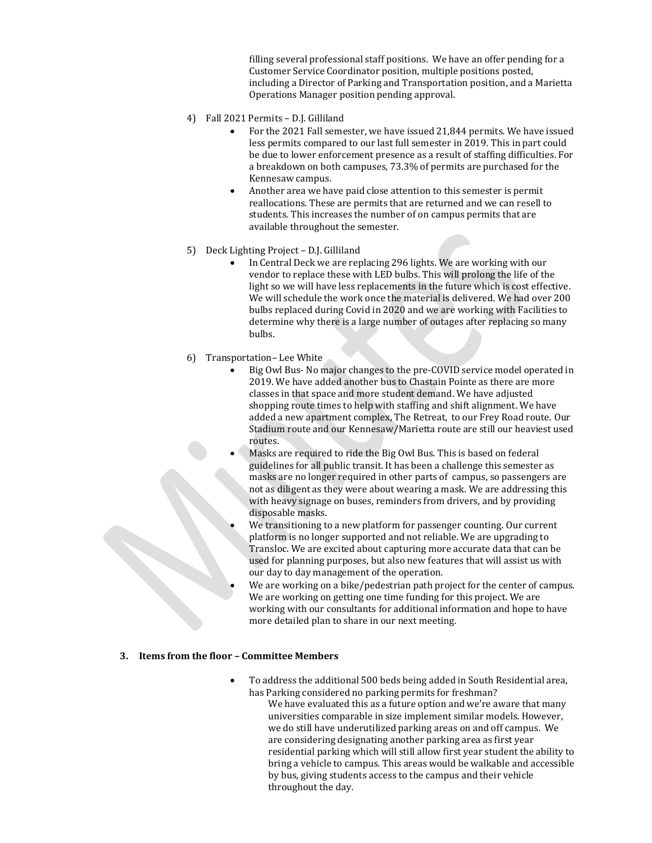filling several professional staff positions. We have an offer pending for a Customer Service Coordinator position, multiple positions posted, including a Director of Parking and Transportation position, and a Marietta Operations Manager position pending approval.

- 4) Fall 2021 Permits D.J. Gilliland
	- For the 2021 Fall semester, we have issued 21,844 permits. We have issued less permits compared to our last full semester in 2019. This in part could be due to lower enforcement presence as a result of staffing difficulties. For a breakdown on both campuses, 73.3% of permits are purchased for the Kennesaw campus.
	- Another area we have paid close attention to this semester is permit reallocations. These are permits that are returned and we can resell to students. This increases the number of on campus permits that are available throughout the semester.
- 5) Deck Lighting Project D.J. Gilliland
	- In Central Deck we are replacing 296 lights. We are working with our vendor to replace these with LED bulbs. This will prolong the life of the light so we will have less replacements in the future which is cost effective. We will schedule the work once the material is delivered. We had over 200 bulbs replaced during Covid in 2020 and we are working with Facilities to determine why there is a large number of outages after replacing so many bulbs.
- 6) Transportation– Lee White
	- Big Owl Bus- No major changes to the pre-COVID service model operated in 2019. We have added another bus to Chastain Pointe as there are more classes in that space and more student demand. We have adjusted shopping route times to help with staffing and shift alignment. We have added a new apartment complex, The Retreat, to our Frey Road route. Our Stadium route and our Kennesaw/Marietta route are still our heaviest used routes.
	- Masks are required to ride the Big Owl Bus. This is based on federal guidelines for all public transit. It has been a challenge this semester as masks are no longer required in other parts of campus, so passengers are not as diligent as they were about wearing a mask. We are addressing this with heavy signage on buses, reminders from drivers, and by providing disposable masks.
	- We transitioning to a new platform for passenger counting. Our current platform is no longer supported and not reliable. We are upgrading to Transloc. We are excited about capturing more accurate data that can be used for planning purposes, but also new features that will assist us with our day to day management of the operation.
	- We are working on a bike/pedestrian path project for the center of campus. We are working on getting one time funding for this project. We are working with our consultants for additional information and hope to have more detailed plan to share in our next meeting.

## **3. Items from the floor – Committee Members**

- To address the additional 500 beds being added in South Residential area, has Parking considered no parking permits for freshman?
	- We have evaluated this as a future option and we're aware that many universities comparable in size implement similar models. However, we do still have underutilized parking areas on and off campus. We are considering designating another parking area as first year residential parking which will still allow first year student the ability to bring a vehicle to campus. This areas would be walkable and accessible by bus, giving students access to the campus and their vehicle throughout the day.